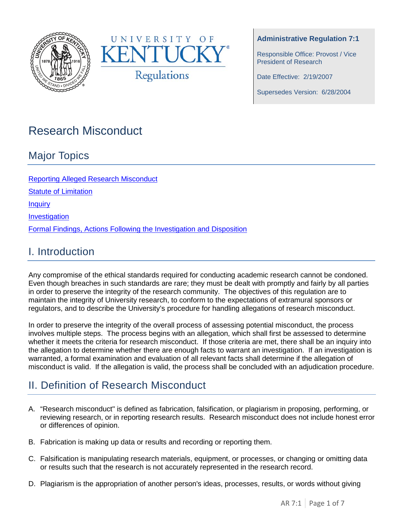



### **Administrative Regulation 7:1**

Responsible Office: Provost / Vice President of Research

Date Effective: 2/19/2007

Supersedes Version: 6/28/2004

# Research Misconduct

## Major Topics

[Reporting Alleged Research](#page-1-0) Misconduct [Statute of Limitation](#page-1-1) **[Inquiry](#page-2-0)** [Investigation](#page-3-0) [Formal Findings, Actions Following the Investigation and Disposition](#page-5-0)

### I. Introduction

Any compromise of the ethical standards required for conducting academic research cannot be condoned. Even though breaches in such standards are rare; they must be dealt with promptly and fairly by all parties in order to preserve the integrity of the research community. The objectives of this regulation are to maintain the integrity of University research, to conform to the expectations of extramural sponsors or regulators, and to describe the University's procedure for handling allegations of research misconduct.

In order to preserve the integrity of the overall process of assessing potential misconduct, the process involves multiple steps. The process begins with an allegation, which shall first be assessed to determine whether it meets the criteria for research misconduct. If those criteria are met, there shall be an inquiry into the allegation to determine whether there are enough facts to warrant an investigation. If an investigation is warranted, a formal examination and evaluation of all relevant facts shall determine if the allegation of misconduct is valid. If the allegation is valid, the process shall be concluded with an adjudication procedure.

# II. Definition of Research Misconduct

- A. "Research misconduct" is defined as fabrication, falsification, or plagiarism in proposing, performing, or reviewing research, or in reporting research results. Research misconduct does not include honest error or differences of opinion.
- B. Fabrication is making up data or results and recording or reporting them.
- C. Falsification is manipulating research materials, equipment, or processes, or changing or omitting data or results such that the research is not accurately represented in the research record.
- D. Plagiarism is the appropriation of another person's ideas, processes, results, or words without giving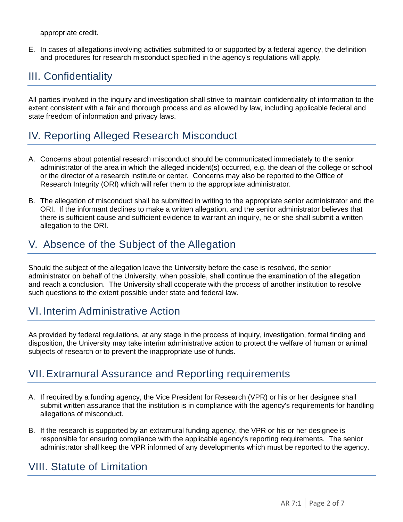appropriate credit.

E. In cases of allegations involving activities submitted to or supported by a federal agency, the definition and procedures for research misconduct specified in the agency's regulations will apply*.*

# III. Confidentiality

All parties involved in the inquiry and investigation shall strive to maintain confidentiality of information to the extent consistent with a fair and thorough process and as allowed by law, including applicable federal and state freedom of information and privacy laws.

# <span id="page-1-0"></span>IV. Reporting Alleged Research Misconduct

- A. Concerns about potential research misconduct should be communicated immediately to the senior administrator of the area in which the alleged incident(s) occurred, e.g. the dean of the college or school or the director of a research institute or center. Concerns may also be reported to the Office of Research Integrity (ORI) which will refer them to the appropriate administrator.
- B. The allegation of misconduct shall be submitted in writing to the appropriate senior administrator and the ORI. If the informant declines to make a written allegation, and the senior administrator believes that there is sufficient cause and sufficient evidence to warrant an inquiry, he or she shall submit a written allegation to the ORI.

# V. Absence of the Subject of the Allegation

Should the subject of the allegation leave the University before the case is resolved, the senior administrator on behalf of the University, when possible, shall continue the examination of the allegation and reach a conclusion. The University shall cooperate with the process of another institution to resolve such questions to the extent possible under state and federal law.

### VI. Interim Administrative Action

As provided by federal regulations, at any stage in the process of inquiry, investigation, formal finding and disposition, the University may take interim administrative action to protect the welfare of human or animal subjects of research or to prevent the inappropriate use of funds.

### VII.Extramural Assurance and Reporting requirements

- A. If required by a funding agency, the Vice President for Research (VPR) or his or her designee shall submit written assurance that the institution is in compliance with the agency's requirements for handling allegations of misconduct.
- B. If the research is supported by an extramural funding agency, the VPR or his or her designee is responsible for ensuring compliance with the applicable agency's reporting requirements. The senior administrator shall keep the VPR informed of any developments which must be reported to the agency.

### <span id="page-1-1"></span>VIII. Statute of Limitation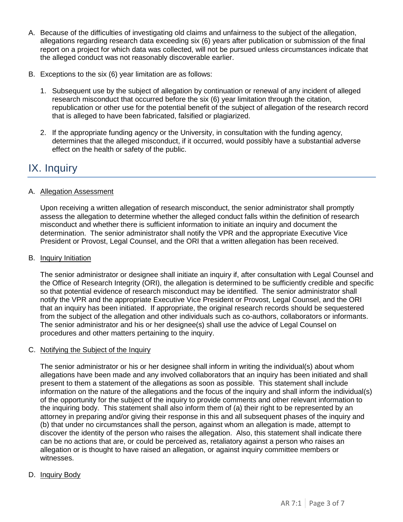- A. Because of the difficulties of investigating old claims and unfairness to the subject of the allegation, allegations regarding research data exceeding six (6) years after publication or submission of the final report on a project for which data was collected, will not be pursued unless circumstances indicate that the alleged conduct was not reasonably discoverable earlier.
- B. Exceptions to the six (6) year limitation are as follows:
	- 1. Subsequent use by the subject of allegation by continuation or renewal of any incident of alleged research misconduct that occurred before the six (6) year limitation through the citation, republication or other use for the potential benefit of the subject of allegation of the research record that is alleged to have been fabricated, falsified or plagiarized.
	- 2. If the appropriate funding agency or the University, in consultation with the funding agency, determines that the alleged misconduct, if it occurred, would possibly have a substantial adverse effect on the health or safety of the public.

## <span id="page-2-0"></span>IX. Inquiry

### A. Allegation Assessment

Upon receiving a written allegation of research misconduct, the senior administrator shall promptly assess the allegation to determine whether the alleged conduct falls within the definition of research misconduct and whether there is sufficient information to initiate an inquiry and document the determination. The senior administrator shall notify the VPR and the appropriate Executive Vice President or Provost, Legal Counsel, and the ORI that a written allegation has been received.

#### B. Inquiry Initiation

The senior administrator or designee shall initiate an inquiry if, after consultation with Legal Counsel and the Office of Research Integrity (ORI), the allegation is determined to be sufficiently credible and specific so that potential evidence of research misconduct may be identified. The senior administrator shall notify the VPR and the appropriate Executive Vice President or Provost, Legal Counsel, and the ORI that an inquiry has been initiated. If appropriate, the original research records should be sequestered from the subject of the allegation and other individuals such as co-authors, collaborators or informants. The senior administrator and his or her designee(s) shall use the advice of Legal Counsel on procedures and other matters pertaining to the inquiry.

#### C. Notifying the Subject of the Inquiry

The senior administrator or his or her designee shall inform in writing the individual(s) about whom allegations have been made and any involved collaborators that an inquiry has been initiated and shall present to them a statement of the allegations as soon as possible. This statement shall include information on the nature of the allegations and the focus of the inquiry and shall inform the individual(s) of the opportunity for the subject of the inquiry to provide comments and other relevant information to the inquiring body. This statement shall also inform them of (a) their right to be represented by an attorney in preparing and/or giving their response in this and all subsequent phases of the inquiry and (b) that under no circumstances shall the person, against whom an allegation is made, attempt to discover the identity of the person who raises the allegation. Also, this statement shall indicate there can be no actions that are, or could be perceived as, retaliatory against a person who raises an allegation or is thought to have raised an allegation, or against inquiry committee members or witnesses.

#### D. Inquiry Body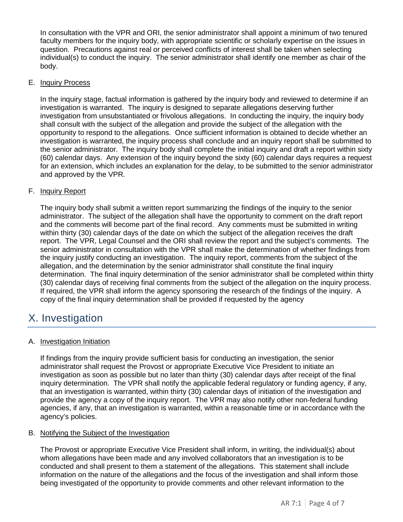In consultation with the VPR and ORI, the senior administrator shall appoint a minimum of two tenured faculty members for the inquiry body, with appropriate scientific or scholarly expertise on the issues in question. Precautions against real or perceived conflicts of interest shall be taken when selecting individual(s) to conduct the inquiry. The senior administrator shall identify one member as chair of the body.

#### E. Inquiry Process

In the inquiry stage, factual information is gathered by the inquiry body and reviewed to determine if an investigation is warranted. The inquiry is designed to separate allegations deserving further investigation from unsubstantiated or frivolous allegations. In conducting the inquiry, the inquiry body shall consult with the subject of the allegation and provide the subject of the allegation with the opportunity to respond to the allegations. Once sufficient information is obtained to decide whether an investigation is warranted, the inquiry process shall conclude and an inquiry report shall be submitted to the senior administrator. The inquiry body shall complete the initial inquiry and draft a report within sixty (60) calendar days. Any extension of the inquiry beyond the sixty (60) calendar days requires a request for an extension, which includes an explanation for the delay, to be submitted to the senior administrator and approved by the VPR.

### F. Inquiry Report

The inquiry body shall submit a written report summarizing the findings of the inquiry to the senior administrator. The subject of the allegation shall have the opportunity to comment on the draft report and the comments will become part of the final record. Any comments must be submitted in writing within thirty (30) calendar days of the date on which the subject of the allegation receives the draft report. The VPR, Legal Counsel and the ORI shall review the report and the subject's comments. The senior administrator in consultation with the VPR shall make the determination of whether findings from the inquiry justify conducting an investigation. The inquiry report, comments from the subject of the allegation, and the determination by the senior administrator shall constitute the final inquiry determination. The final inquiry determination of the senior administrator shall be completed within thirty (30) calendar days of receiving final comments from the subject of the allegation on the inquiry process. If required, the VPR shall inform the agency sponsoring the research of the findings of the inquiry. A copy of the final inquiry determination shall be provided if requested by the agency

### <span id="page-3-0"></span>X. Investigation

#### A. Investigation Initiation

If findings from the inquiry provide sufficient basis for conducting an investigation, the senior administrator shall request the Provost or appropriate Executive Vice President to initiate an investigation as soon as possible but no later than thirty (30) calendar days after receipt of the final inquiry determination. The VPR shall notify the applicable federal regulatory or funding agency, if any, that an investigation is warranted, within thirty (30) calendar days of initiation of the investigation and provide the agency a copy of the inquiry report. The VPR may also notify other non-federal funding agencies, if any, that an investigation is warranted, within a reasonable time or in accordance with the agency's policies.

#### B. Notifying the Subject of the Investigation

The Provost or appropriate Executive Vice President shall inform, in writing, the individual(s) about whom allegations have been made and any involved collaborators that an investigation is to be conducted and shall present to them a statement of the allegations. This statement shall include information on the nature of the allegations and the focus of the investigation and shall inform those being investigated of the opportunity to provide comments and other relevant information to the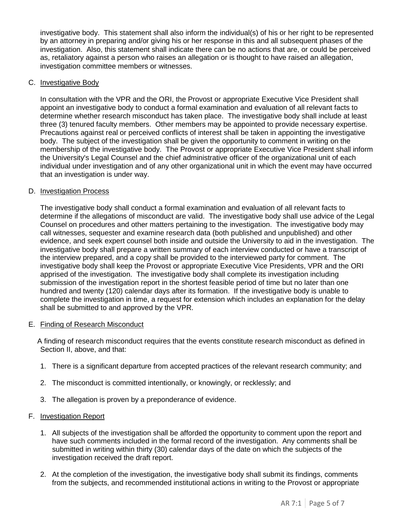investigative body. This statement shall also inform the individual(s) of his or her right to be represented by an attorney in preparing and/or giving his or her response in this and all subsequent phases of the investigation. Also, this statement shall indicate there can be no actions that are, or could be perceived as, retaliatory against a person who raises an allegation or is thought to have raised an allegation, investigation committee members or witnesses.

#### C. Investigative Body

In consultation with the VPR and the ORI, the Provost or appropriate Executive Vice President shall appoint an investigative body to conduct a formal examination and evaluation of all relevant facts to determine whether research misconduct has taken place. The investigative body shall include at least three (3) tenured faculty members. Other members may be appointed to provide necessary expertise. Precautions against real or perceived conflicts of interest shall be taken in appointing the investigative body. The subject of the investigation shall be given the opportunity to comment in writing on the membership of the investigative body. The Provost or appropriate Executive Vice President shall inform the University's Legal Counsel and the chief administrative officer of the organizational unit of each individual under investigation and of any other organizational unit in which the event may have occurred that an investigation is under way.

#### D. Investigation Process

The investigative body shall conduct a formal examination and evaluation of all relevant facts to determine if the allegations of misconduct are valid. The investigative body shall use advice of the Legal Counsel on procedures and other matters pertaining to the investigation. The investigative body may call witnesses, sequester and examine research data (both published and unpublished) and other evidence, and seek expert counsel both inside and outside the University to aid in the investigation. The investigative body shall prepare a written summary of each interview conducted or have a transcript of the interview prepared, and a copy shall be provided to the interviewed party for comment. The investigative body shall keep the Provost or appropriate Executive Vice Presidents, VPR and the ORI apprised of the investigation. The investigative body shall complete its investigation including submission of the investigation report in the shortest feasible period of time but no later than one hundred and twenty (120) calendar days after its formation. If the investigative body is unable to complete the investigation in time, a request for extension which includes an explanation for the delay shall be submitted to and approved by the VPR.

#### E. Finding of Research Misconduct

A finding of research misconduct requires that the events constitute research misconduct as defined in Section II, above, and that:

- 1. There is a significant departure from accepted practices of the relevant research community; and
- 2. The misconduct is committed intentionally, or knowingly, or recklessly; and
- 3. The allegation is proven by a preponderance of evidence.

#### F. Investigation Report

- 1. All subjects of the investigation shall be afforded the opportunity to comment upon the report and have such comments included in the formal record of the investigation. Any comments shall be submitted in writing within thirty (30) calendar days of the date on which the subjects of the investigation received the draft report.
- 2. At the completion of the investigation, the investigative body shall submit its findings, comments from the subjects, and recommended institutional actions in writing to the Provost or appropriate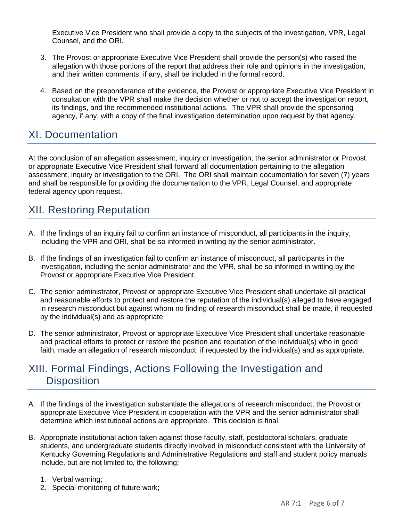Executive Vice President who shall provide a copy to the subjects of the investigation, VPR, Legal Counsel, and the ORI.

- 3. The Provost or appropriate Executive Vice President shall provide the person(s) who raised the allegation with those portions of the report that address their role and opinions in the investigation, and their written comments, if any, shall be included in the formal record.
- 4. Based on the preponderance of the evidence, the Provost or appropriate Executive Vice President in consultation with the VPR shall make the decision whether or not to accept the investigation report, its findings, and the recommended institutional actions. The VPR shall provide the sponsoring agency, if any, with a copy of the final investigation determination upon request by that agency.

## XI. Documentation

At the conclusion of an allegation assessment, inquiry or investigation, the senior administrator or Provost or appropriate Executive Vice President shall forward all documentation pertaining to the allegation assessment, inquiry or investigation to the ORI. The ORI shall maintain documentation for seven (7) years and shall be responsible for providing the documentation to the VPR, Legal Counsel, and appropriate federal agency upon request.

## XII. Restoring Reputation

- A. If the findings of an inquiry fail to confirm an instance of misconduct, all participants in the inquiry, including the VPR and ORI, shall be so informed in writing by the senior administrator.
- B. If the findings of an investigation fail to confirm an instance of misconduct, all participants in the investigation, including the senior administrator and the VPR, shall be so informed in writing by the Provost or appropriate Executive Vice President.
- C. The senior administrator, Provost or appropriate Executive Vice President shall undertake all practical and reasonable efforts to protect and restore the reputation of the individual(s) alleged to have engaged in research misconduct but against whom no finding of research misconduct shall be made, if requested by the individual(s) and as appropriate
- D. The senior administrator, Provost or appropriate Executive Vice President shall undertake reasonable and practical efforts to protect or restore the position and reputation of the individual(s) who in good faith, made an allegation of research misconduct, if requested by the individual(s) and as appropriate.

### <span id="page-5-0"></span>XIII. Formal Findings, Actions Following the Investigation and **Disposition**

- A. If the findings of the investigation substantiate the allegations of research misconduct, the Provost or appropriate Executive Vice President in cooperation with the VPR and the senior administrator shall determine which institutional actions are appropriate. This decision is final.
- B. Appropriate institutional action taken against those faculty, staff, postdoctoral scholars, graduate students, and undergraduate students directly involved in misconduct consistent with the University of Kentucky Governing Regulations and Administrative Regulations and staff and student policy manuals include, but are not limited to, the following:
	- 1. Verbal warning;
	- 2. Special monitoring of future work;